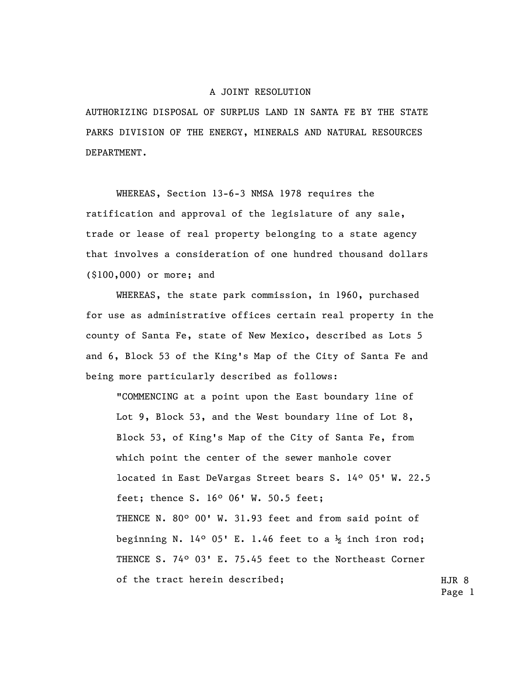## A JOINT RESOLUTION

AUTHORIZING DISPOSAL OF SURPLUS LAND IN SANTA FE BY THE STATE PARKS DIVISION OF THE ENERGY, MINERALS AND NATURAL RESOURCES DEPARTMENT.

WHEREAS, Section 13-6-3 NMSA 1978 requires the ratification and approval of the legislature of any sale, trade or lease of real property belonging to a state agency that involves a consideration of one hundred thousand dollars (\$100,000) or more; and

WHEREAS, the state park commission, in 1960, purchased for use as administrative offices certain real property in the county of Santa Fe, state of New Mexico, described as Lots 5 and 6, Block 53 of the King's Map of the City of Santa Fe and being more particularly described as follows:

HJR 8 "COMMENCING at a point upon the East boundary line of Lot 9, Block 53, and the West boundary line of Lot 8, Block 53, of King's Map of the City of Santa Fe, from which point the center of the sewer manhole cover located in East DeVargas Street bears S. 14º 05' W. 22.5 feet; thence S. 16º 06' W. 50.5 feet; THENCE N. 80º 00' W. 31.93 feet and from said point of beginning N. 14° 05' E. 1.46 feet to a  $\frac{1}{2}$  inch iron rod; THENCE S. 74º 03' E. 75.45 feet to the Northeast Corner of the tract herein described;

Page 1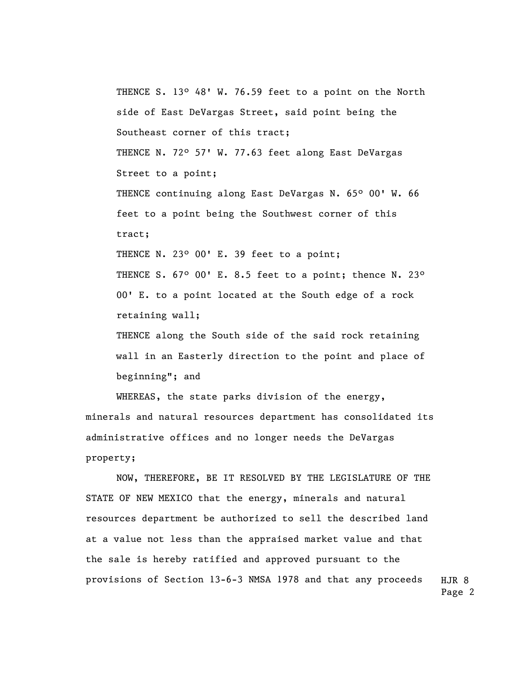THENCE S. 13º 48' W. 76.59 feet to a point on the North side of East DeVargas Street, said point being the Southeast corner of this tract; THENCE N. 72° 57' W. 77.63 feet along East DeVargas Street to a point; THENCE continuing along East DeVargas N. 65° 00' W. 66 feet to a point being the Southwest corner of this tract; THENCE N. 23° 00' E. 39 feet to a point; THENCE S. 67° 00' E. 8.5 feet to a point; thence N. 23° 00' E. to a point located at the South edge of a rock retaining wall; THENCE along the South side of the said rock retaining wall in an Easterly direction to the point and place of beginning"; and

WHEREAS, the state parks division of the energy, minerals and natural resources department has consolidated its administrative offices and no longer needs the DeVargas property;

HJR 8 NOW, THEREFORE, BE IT RESOLVED BY THE LEGISLATURE OF THE STATE OF NEW MEXICO that the energy, minerals and natural resources department be authorized to sell the described land at a value not less than the appraised market value and that the sale is hereby ratified and approved pursuant to the provisions of Section 13-6-3 NMSA 1978 and that any proceeds

Page 2